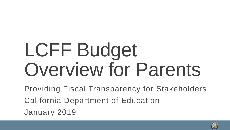# LCFF Budget Overview for Parents

Providing Fiscal Transparency for Stakeholders California Department of Education January 2019

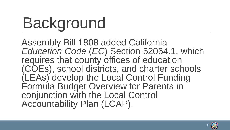## Background

Assembly Bill 1808 added California *Education Code* (*EC*) Section 52064.1, which requires that county offices of education (COEs), school districts, and charter schools (LEAs) develop the Local Control Funding Formula Budget Overview for Parents in conjunction with the Local Control Accountability Plan (LCAP).

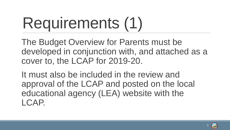## Requirements (1)

The Budget Overview for Parents must be developed in conjunction with, and attached as a cover to, the LCAP for 2019-20.

It must also be included in the review and approval of the LCAP and posted on the local educational agency (LEA) website with the LCAP.

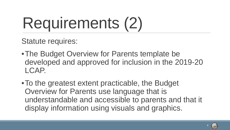## Requirements (2)

Statute requires:

- •The Budget Overview for Parents template be developed and approved for inclusion in the 2019-20 LCAP.
- •To the greatest extent practicable, the Budget Overview for Parents use language that is understandable and accessible to parents and that it display information using visuals and graphics.

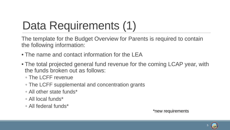### Data Requirements (1)

The template for the Budget Overview for Parents is required to contain the following information:

- The name and contact information for the LEA
- The total projected general fund revenue for the coming LCAP year, with the funds broken out as follows:
	- The LCFF revenue
	- The LCFF supplemental and concentration grants
	- All other state funds\*
	- All local funds\*
	- All federal funds\*

\*new requirements

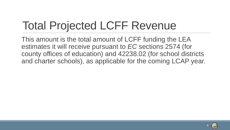### Total Projected LCFF Revenue

This amount is the total amount of LCFF funding the LEA estimates it will receive pursuant to *EC* sections 2574 (for county offices of education) and 42238.02 (for school districts and charter schools), as applicable for the coming LCAP year.

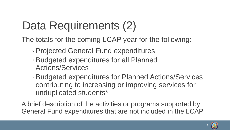### Data Requirements (2)

The totals for the coming LCAP year for the following:

- ◦Projected General Fund expenditures
- ◦Budgeted expenditures for all Planned Actions/Services
- ◦Budgeted expenditures for Planned Actions/Services contributing to increasing or improving services for unduplicated students\*

A brief description of the activities or programs supported by General Fund expenditures that are not included in the LCAP

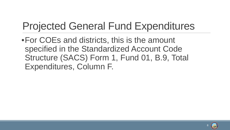#### Projected General Fund Expenditures

•For COEs and districts, this is the amount specified in the Standardized Account Code Structure (SACS) Form 1, Fund 01, B.9, Total Expenditures, Column F.

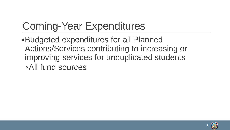#### Coming-Year Expenditures

•Budgeted expenditures for all Planned Actions/Services contributing to increasing or improving services for unduplicated students ◦All fund sources

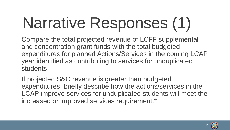## Narrative Responses (1)

Compare the total projected revenue of LCFF supplemental and concentration grant funds with the total budgeted expenditures for planned Actions/Services in the coming LCAP year identified as contributing to services for unduplicated students.

If projected S&C revenue is greater than budgeted expenditures, briefly describe how the actions/services in the LCAP improve services for unduplicated students will meet the increased or improved services requirement.\*

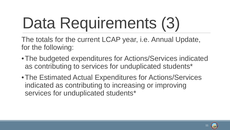## Data Requirements (3)

The totals for the current LCAP year, i.e. Annual Update, for the following:

- •The budgeted expenditures for Actions/Services indicated as contributing to services for unduplicated students\*
- •The Estimated Actual Expenditures for Actions/Services indicated as contributing to increasing or improving services for unduplicated students\*

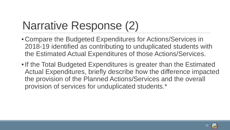### Narrative Response (2)

- Compare the Budgeted Expenditures for Actions/Services in 2018-19 identified as contributing to unduplicated students with the Estimated Actual Expenditures of those Actions/Services.
- If the Total Budgeted Expenditures is greater than the Estimated Actual Expenditures, briefly describe how the difference impacted the provision of the Planned Actions/Services and the overall provision of services for unduplicated students.\*

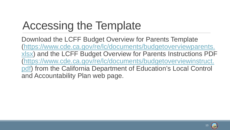### Accessing the Template

Download the LCFF Budget Overview for Parents Template [\(https://www.cde.ca.gov/re/lc/documents/budgetoverviewparents.](https://www.cde.ca.gov/re/lc/documents/budgetoverviewparents.xlsx) xlsx) and the LCFF Budget Overview for Parents Instructions PDF [\(https://www.cde.ca.gov/re/lc/documents/budgetoverviewinstruct.](https://www.cde.ca.gov/re/lc/documents/budgetoverviewinstruct.pdf) pdf) from the California Department of Education's Local Control and Accountability Plan web page.